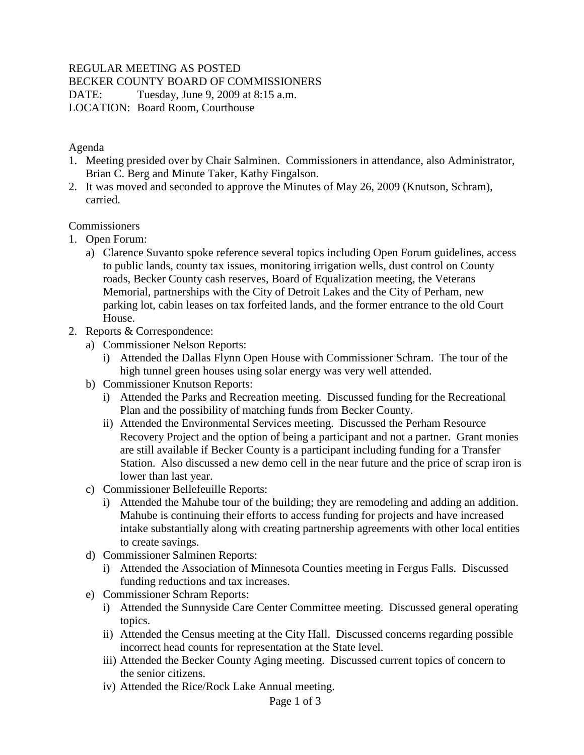### REGULAR MEETING AS POSTED

BECKER COUNTY BOARD OF COMMISSIONERS

DATE: Tuesday, June 9, 2009 at 8:15 a.m. LOCATION: Board Room, Courthouse

### Agenda

- 1. Meeting presided over by Chair Salminen. Commissioners in attendance, also Administrator, Brian C. Berg and Minute Taker, Kathy Fingalson.
- 2. It was moved and seconded to approve the Minutes of May 26, 2009 (Knutson, Schram), carried.

### **Commissioners**

- 1. Open Forum:
	- a) Clarence Suvanto spoke reference several topics including Open Forum guidelines, access to public lands, county tax issues, monitoring irrigation wells, dust control on County roads, Becker County cash reserves, Board of Equalization meeting, the Veterans Memorial, partnerships with the City of Detroit Lakes and the City of Perham, new parking lot, cabin leases on tax forfeited lands, and the former entrance to the old Court House.
- 2. Reports & Correspondence:
	- a) Commissioner Nelson Reports:
		- i) Attended the Dallas Flynn Open House with Commissioner Schram. The tour of the high tunnel green houses using solar energy was very well attended.
	- b) Commissioner Knutson Reports:
		- i) Attended the Parks and Recreation meeting. Discussed funding for the Recreational Plan and the possibility of matching funds from Becker County.
		- ii) Attended the Environmental Services meeting. Discussed the Perham Resource Recovery Project and the option of being a participant and not a partner. Grant monies are still available if Becker County is a participant including funding for a Transfer Station. Also discussed a new demo cell in the near future and the price of scrap iron is lower than last year.
	- c) Commissioner Bellefeuille Reports:
		- i) Attended the Mahube tour of the building; they are remodeling and adding an addition. Mahube is continuing their efforts to access funding for projects and have increased intake substantially along with creating partnership agreements with other local entities to create savings.
	- d) Commissioner Salminen Reports:
		- i) Attended the Association of Minnesota Counties meeting in Fergus Falls. Discussed funding reductions and tax increases.
	- e) Commissioner Schram Reports:
		- i) Attended the Sunnyside Care Center Committee meeting. Discussed general operating topics.
		- ii) Attended the Census meeting at the City Hall. Discussed concerns regarding possible incorrect head counts for representation at the State level.
		- iii) Attended the Becker County Aging meeting. Discussed current topics of concern to the senior citizens.
		- iv) Attended the Rice/Rock Lake Annual meeting.

#### Page 1 of 3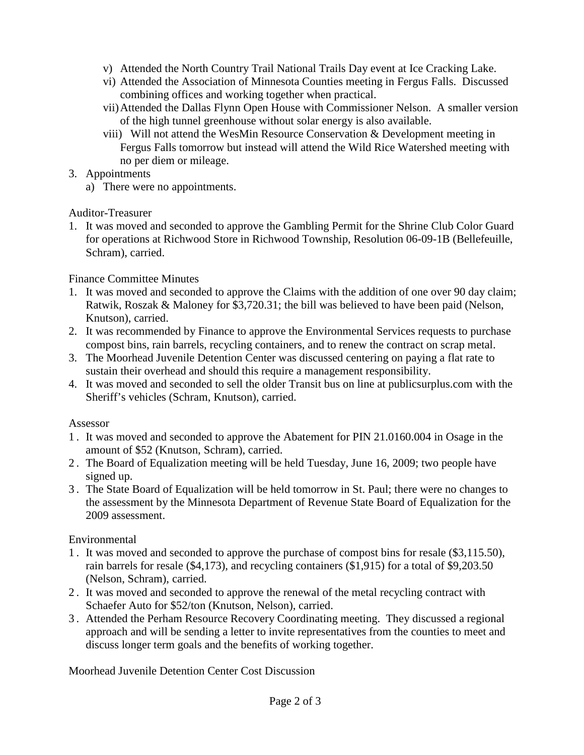- v) Attended the North Country Trail National Trails Day event at Ice Cracking Lake.
- vi) Attended the Association of Minnesota Counties meeting in Fergus Falls. Discussed combining offices and working together when practical.
- vii)Attended the Dallas Flynn Open House with Commissioner Nelson. A smaller version of the high tunnel greenhouse without solar energy is also available.
- viii) Will not attend the WesMin Resource Conservation & Development meeting in Fergus Falls tomorrow but instead will attend the Wild Rice Watershed meeting with no per diem or mileage.
- 3. Appointments
	- a) There were no appointments.

Auditor-Treasurer

1. It was moved and seconded to approve the Gambling Permit for the Shrine Club Color Guard for operations at Richwood Store in Richwood Township, Resolution 06-09-1B (Bellefeuille, Schram), carried.

# Finance Committee Minutes

- 1. It was moved and seconded to approve the Claims with the addition of one over 90 day claim; Ratwik, Roszak & Maloney for \$3,720.31; the bill was believed to have been paid (Nelson, Knutson), carried.
- 2. It was recommended by Finance to approve the Environmental Services requests to purchase compost bins, rain barrels, recycling containers, and to renew the contract on scrap metal.
- 3. The Moorhead Juvenile Detention Center was discussed centering on paying a flat rate to sustain their overhead and should this require a management responsibility.
- 4. It was moved and seconded to sell the older Transit bus on line at publicsurplus.com with the Sheriff's vehicles (Schram, Knutson), carried.

# Assessor

- 1 . It was moved and seconded to approve the Abatement for PIN 21.0160.004 in Osage in the amount of \$52 (Knutson, Schram), carried.
- 2 . The Board of Equalization meeting will be held Tuesday, June 16, 2009; two people have signed up.
- 3 . The State Board of Equalization will be held tomorrow in St. Paul; there were no changes to the assessment by the Minnesota Department of Revenue State Board of Equalization for the 2009 assessment.

# Environmental

- 1 . It was moved and seconded to approve the purchase of compost bins for resale (\$3,115.50), rain barrels for resale (\$4,173), and recycling containers (\$1,915) for a total of \$9,203.50 (Nelson, Schram), carried.
- 2 . It was moved and seconded to approve the renewal of the metal recycling contract with Schaefer Auto for \$52/ton (Knutson, Nelson), carried.
- 3 . Attended the Perham Resource Recovery Coordinating meeting. They discussed a regional approach and will be sending a letter to invite representatives from the counties to meet and discuss longer term goals and the benefits of working together.

Moorhead Juvenile Detention Center Cost Discussion